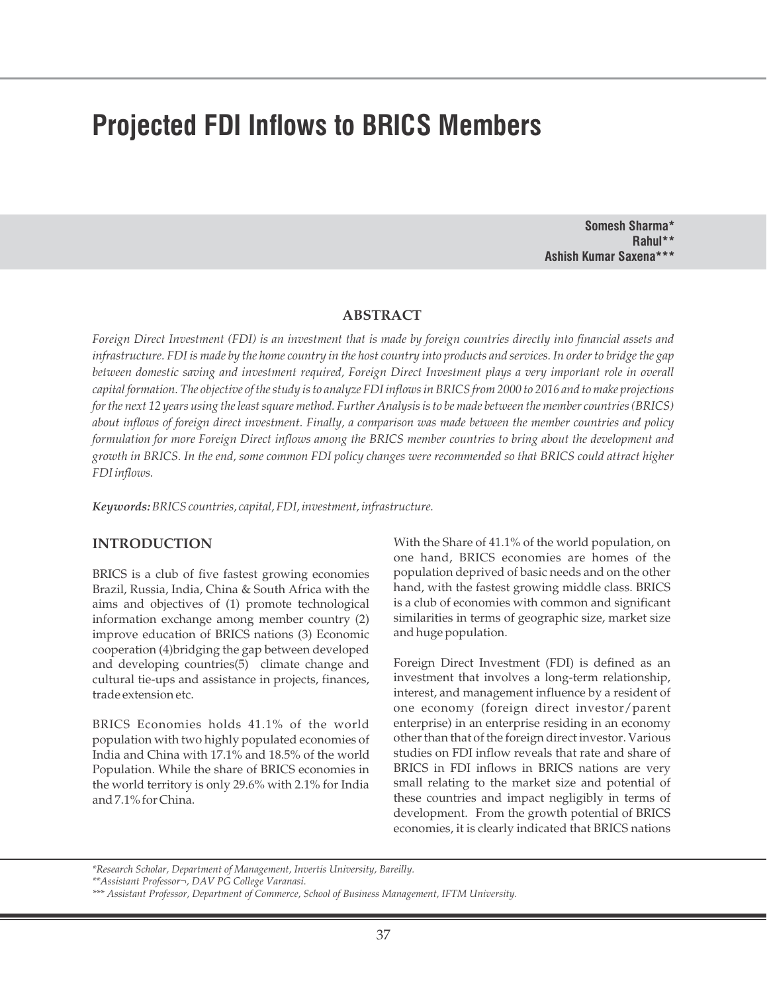# **Projected FDI Inflows to BRICS Members**

**Somesh Sharma\* Rahul\*\* Ashish Kumar Saxena\*\*\***

## **ABSTRACT**

*Foreign Direct Investment (FDI) is an investment that is made by foreign countries directly into financial assets and infrastructure. FDI is made by the home country in the host country into products and services. In order to bridge the gap between domestic saving and investment required, Foreign Direct Investment plays a very important role in overall capital formation. The objective of the study is to analyze FDI inflows in BRICS from 2000 to 2016 and to make projections for the next 12 years using the least square method. Further Analysis is to be made between the member countries (BRICS) about inflows of foreign direct investment. Finally, a comparison was made between the member countries and policy formulation for more Foreign Direct inflows among the BRICS member countries to bring about the development and growth in BRICS. In the end, some common FDI policy changes were recommended so that BRICS could attract higher FDI inflows.* 

*Keywords:BRICS countries, capital, FDI, investment, infrastructure.*

## **INTRODUCTION**

BRICS is a club of five fastest growing economies Brazil, Russia, India, China & South Africa with the aims and objectives of (1) promote technological information exchange among member country (2) improve education of BRICS nations (3) Economic cooperation (4)bridging the gap between developed and developing countries(5) climate change and cultural tie-ups and assistance in projects, finances, trade extension etc.

BRICS Economies holds 41.1% of the world population with two highly populated economies of India and China with 17.1% and 18.5% of the world Population. While the share of BRICS economies in the world territory is only 29.6% with 2.1% for India and 7.1% for China.

With the Share of 41.1% of the world population, on one hand, BRICS economies are homes of the population deprived of basic needs and on the other hand, with the fastest growing middle class. BRICS is a club of economies with common and significant similarities in terms of geographic size, market size and huge population.

Foreign Direct Investment (FDI) is defined as an investment that involves a long-term relationship, interest, and management influence by a resident of one economy (foreign direct investor/parent enterprise) in an enterprise residing in an economy other than that of the foreign direct investor. Various studies on FDI inflow reveals that rate and share of BRICS in FDI inflows in BRICS nations are very small relating to the market size and potential of these countries and impact negligibly in terms of development. From the growth potential of BRICS economies, it is clearly indicated that BRICS nations

*<sup>\*</sup>Research Scholar, Department of Management, Invertis University, Bareilly.*

*<sup>\*\*</sup>Assistant Professor¬, DAV PG College Varanasi.*

*<sup>\*\*\*</sup> Assistant Professor, Department of Commerce, School of Business Management, IFTM University.*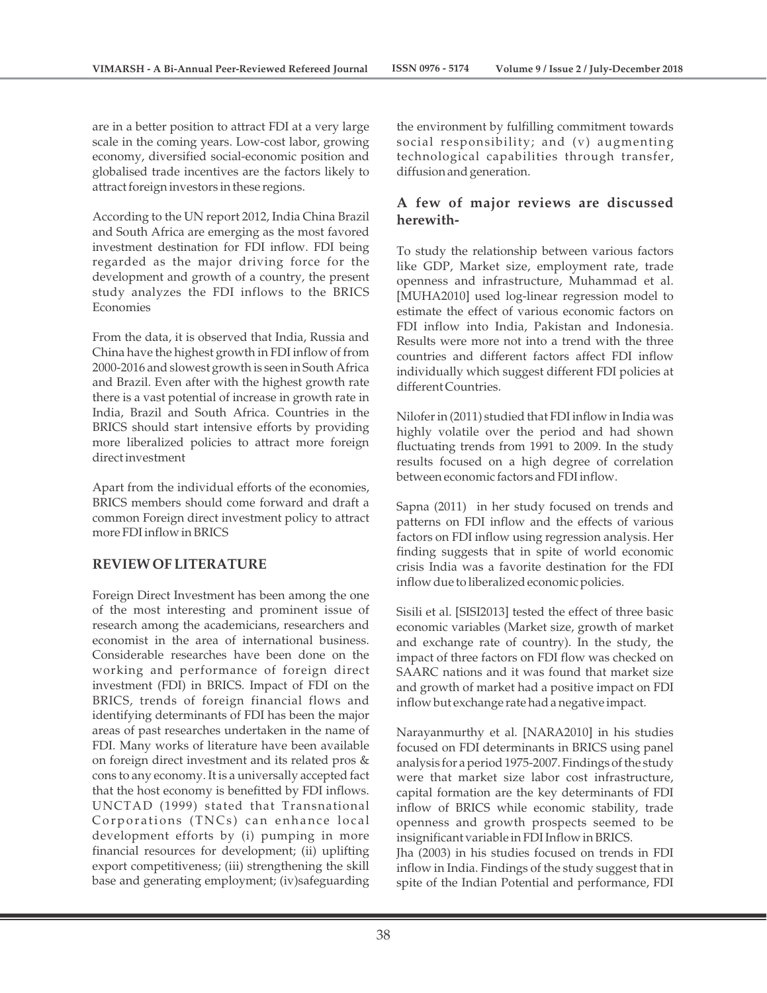are in a better position to attract FDI at a very large scale in the coming years. Low-cost labor, growing economy, diversified social-economic position and globalised trade incentives are the factors likely to attract foreign investors in these regions.

According to the UN report 2012, India China Brazil and South Africa are emerging as the most favored investment destination for FDI inflow. FDI being regarded as the major driving force for the development and growth of a country, the present study analyzes the FDI inflows to the BRICS Economies

From the data, it is observed that India, Russia and China have the highest growth in FDI inflow of from 2000-2016 and slowest growth is seen in South Africa and Brazil. Even after with the highest growth rate there is a vast potential of increase in growth rate in India, Brazil and South Africa. Countries in the BRICS should start intensive efforts by providing more liberalized policies to attract more foreign direct investment

Apart from the individual efforts of the economies, BRICS members should come forward and draft a common Foreign direct investment policy to attract more FDI inflow in BRICS

## **REVIEW OF LITERATURE**

Foreign Direct Investment has been among the one of the most interesting and prominent issue of research among the academicians, researchers and economist in the area of international business. Considerable researches have been done on the working and performance of foreign direct investment (FDI) in BRICS. Impact of FDI on the BRICS, trends of foreign financial flows and identifying determinants of FDI has been the major areas of past researches undertaken in the name of FDI. Many works of literature have been available on foreign direct investment and its related pros & cons to any economy. It is a universally accepted fact that the host economy is benefitted by FDI inflows. UNCTAD (1999) stated that Transnational Corporations (TNCs) can enhance local development efforts by (i) pumping in more financial resources for development; (ii) uplifting export competitiveness; (iii) strengthening the skill base and generating employment; (iv)safeguarding

the environment by fulfilling commitment towards social responsibility; and (v) augmenting technological capabilities through transfer, diffusion and generation.

## **A few of major reviews are discussed herewith-**

To study the relationship between various factors like GDP, Market size, employment rate, trade openness and infrastructure, Muhammad et al. [MUHA2010] used log-linear regression model to estimate the effect of various economic factors on FDI inflow into India, Pakistan and Indonesia. Results were more not into a trend with the three countries and different factors affect FDI inflow individually which suggest different FDI policies at different Countries.

Nilofer in (2011) studied that FDI inflow in India was highly volatile over the period and had shown fluctuating trends from 1991 to 2009. In the study results focused on a high degree of correlation between economic factors and FDI inflow.

Sapna (2011) in her study focused on trends and patterns on FDI inflow and the effects of various factors on FDI inflow using regression analysis. Her finding suggests that in spite of world economic crisis India was a favorite destination for the FDI inflow due to liberalized economic policies.

Sisili et al. [SISI2013] tested the effect of three basic economic variables (Market size, growth of market and exchange rate of country). In the study, the impact of three factors on FDI flow was checked on SAARC nations and it was found that market size and growth of market had a positive impact on FDI inflow but exchange rate had a negative impact.

Narayanmurthy et al. [NARA2010] in his studies focused on FDI determinants in BRICS using panel analysis for a period 1975-2007. Findings of the study were that market size labor cost infrastructure, capital formation are the key determinants of FDI inflow of BRICS while economic stability, trade openness and growth prospects seemed to be insignificant variable in FDI Inflow in BRICS. Jha (2003) in his studies focused on trends in FDI inflow in India. Findings of the study suggest that in

spite of the Indian Potential and performance, FDI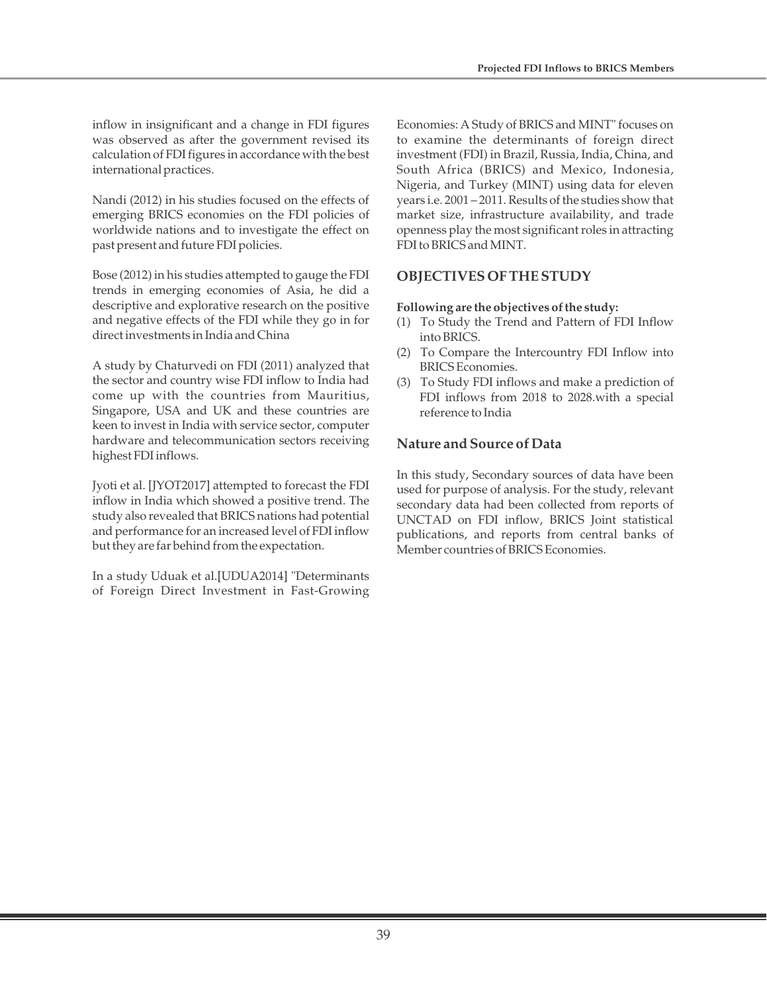inflow in insignificant and a change in FDI figures was observed as after the government revised its calculation of FDI figures in accordance with the best international practices.

Nandi (2012) in his studies focused on the effects of emerging BRICS economies on the FDI policies of worldwide nations and to investigate the effect on past present and future FDI policies.

Bose (2012) in his studies attempted to gauge the FDI trends in emerging economies of Asia, he did a descriptive and explorative research on the positive and negative effects of the FDI while they go in for direct investments in India and China

A study by Chaturvedi on FDI (2011) analyzed that the sector and country wise FDI inflow to India had come up with the countries from Mauritius, Singapore, USA and UK and these countries are keen to invest in India with service sector, computer hardware and telecommunication sectors receiving highest FDI inflows.

Jyoti et al. [JYOT2017] attempted to forecast the FDI inflow in India which showed a positive trend. The study also revealed that BRICS nations had potential and performance for an increased level of FDI inflow but they are far behind from the expectation.

In a study Uduak et al.[UDUA2014] "Determinants of Foreign Direct Investment in Fast-Growing Economies: A Study of BRICS and MINT" focuses on to examine the determinants of foreign direct investment (FDI) in Brazil, Russia, India, China, and South Africa (BRICS) and Mexico, Indonesia, Nigeria, and Turkey (MINT) using data for eleven years i.e. 2001 – 2011. Results of the studies show that market size, infrastructure availability, and trade openness play the most significant roles in attracting FDI to BRICS and MINT.

## **OBJECTIVES OF THE STUDY**

## **Following are the objectives of the study:**

- (1) To Study the Trend and Pattern of FDI Inflow into BRICS.
- (2) To Compare the Intercountry FDI Inflow into BRICS Economies.
- (3) To Study FDI inflows and make a prediction of FDI inflows from 2018 to 2028.with a special reference to India

## **Nature and Source of Data**

In this study, Secondary sources of data have been used for purpose of analysis. For the study, relevant secondary data had been collected from reports of UNCTAD on FDI inflow, BRICS Joint statistical publications, and reports from central banks of Member countries of BRICS Economies.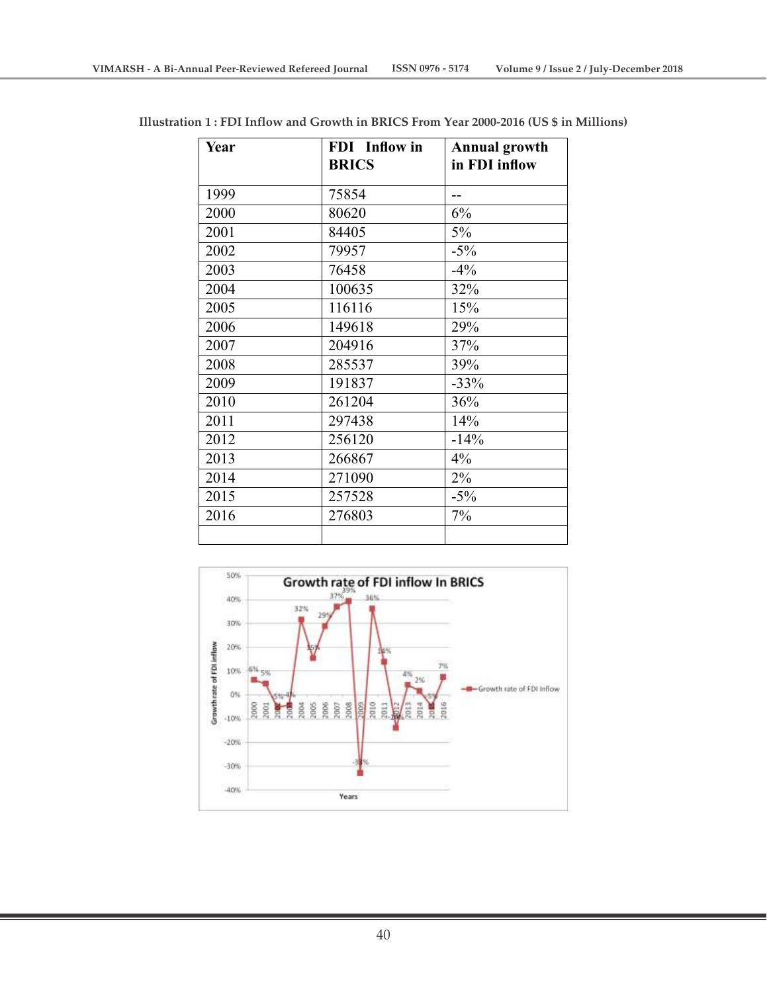| Year | FDI Inflow in<br><b>BRICS</b> | <b>Annual growth</b><br>in FDI inflow |
|------|-------------------------------|---------------------------------------|
| 1999 | 75854                         |                                       |
| 2000 | 80620                         | 6%                                    |
| 2001 | 84405                         | 5%                                    |
| 2002 | 79957                         | $-5\%$                                |
| 2003 | 76458                         | $-4\%$                                |
| 2004 | 100635                        | 32%                                   |
| 2005 | 116116                        | 15%                                   |
| 2006 | 149618                        | 29%                                   |
| 2007 | 204916                        | 37%                                   |
| 2008 | 285537                        | 39%                                   |
| 2009 | 191837                        | $-33%$                                |
| 2010 | 261204                        | 36%                                   |
| 2011 | 297438                        | 14%                                   |
| 2012 | 256120                        | $-14%$                                |
| 2013 | 266867                        | 4%                                    |
| 2014 | 271090                        | 2%                                    |
| 2015 | 257528                        | $-5\%$                                |
| 2016 | 276803                        | 7%                                    |
|      |                               |                                       |

**Illustration 1 : FDI Inflow and Growth in BRICS From Year 2000-2016 (US \$ in Millions)**

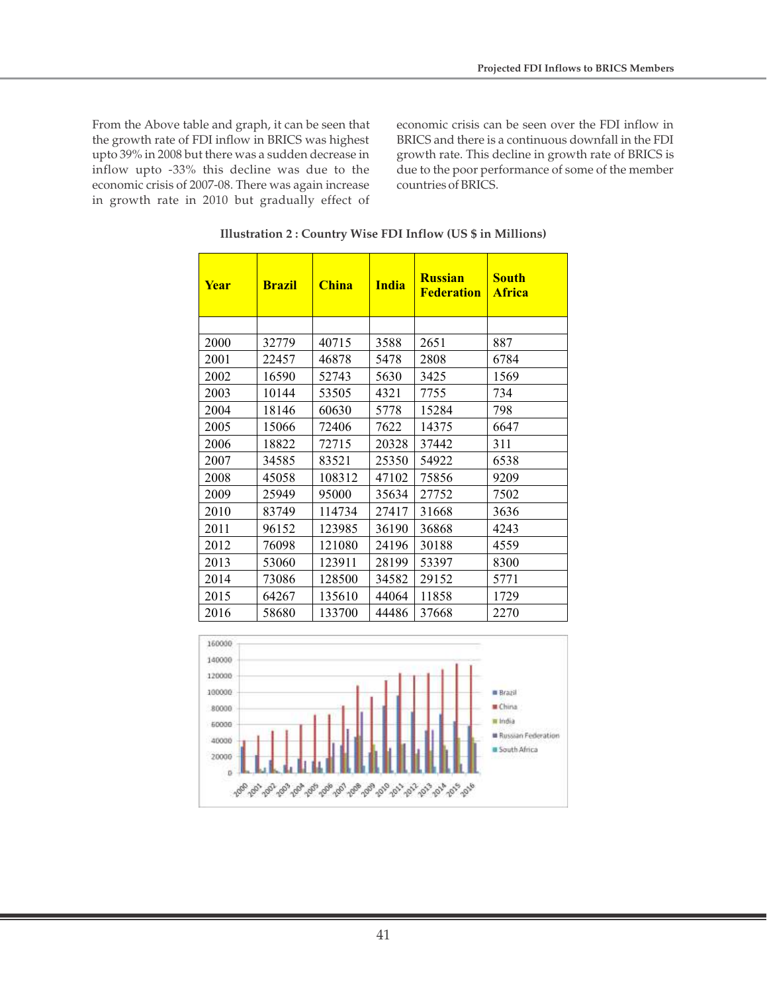From the Above table and graph, it can be seen that the growth rate of FDI inflow in BRICS was highest upto 39% in 2008 but there was a sudden decrease in inflow upto -33% this decline was due to the economic crisis of 2007-08. There was again increase in growth rate in 2010 but gradually effect of economic crisis can be seen over the FDI inflow in BRICS and there is a continuous downfall in the FDI growth rate. This decline in growth rate of BRICS is due to the poor performance of some of the member countries of BRICS.

| <b>Year</b> | <b>Brazil</b> | <b>China</b> | <b>India</b> | <b>Russian</b><br><b>Federation</b> | <b>South</b><br><b>Africa</b> |
|-------------|---------------|--------------|--------------|-------------------------------------|-------------------------------|
|             |               |              |              |                                     |                               |
| 2000        | 32779         | 40715        | 3588         | 2651                                | 887                           |
| 2001        | 22457         | 46878        | 5478         | 2808                                | 6784                          |
| 2002        | 16590         | 52743        | 5630         | 3425                                | 1569                          |
| 2003        | 10144         | 53505        | 4321         | 7755                                | 734                           |
| 2004        | 18146         | 60630        | 5778         | 15284                               | 798                           |
| 2005        | 15066         | 72406        | 7622         | 14375                               | 6647                          |
| 2006        | 18822         | 72715        | 20328        | 37442                               | 311                           |
| 2007        | 34585         | 83521        | 25350        | 54922                               | 6538                          |
| 2008        | 45058         | 108312       | 47102        | 75856                               | 9209                          |
| 2009        | 25949         | 95000        | 35634        | 27752                               | 7502                          |
| 2010        | 83749         | 114734       | 27417        | 31668                               | 3636                          |
| 2011        | 96152         | 123985       | 36190        | 36868                               | 4243                          |
| 2012        | 76098         | 121080       | 24196        | 30188                               | 4559                          |
| 2013        | 53060         | 123911       | 28199        | 53397                               | 8300                          |
| 2014        | 73086         | 128500       | 34582        | 29152                               | 5771                          |
| 2015        | 64267         | 135610       | 44064        | 11858                               | 1729                          |
| 2016        | 58680         | 133700       | 44486        | 37668                               | 2270                          |

**Illustration 2 : Country Wise FDI Inflow (US \$ in Millions)**

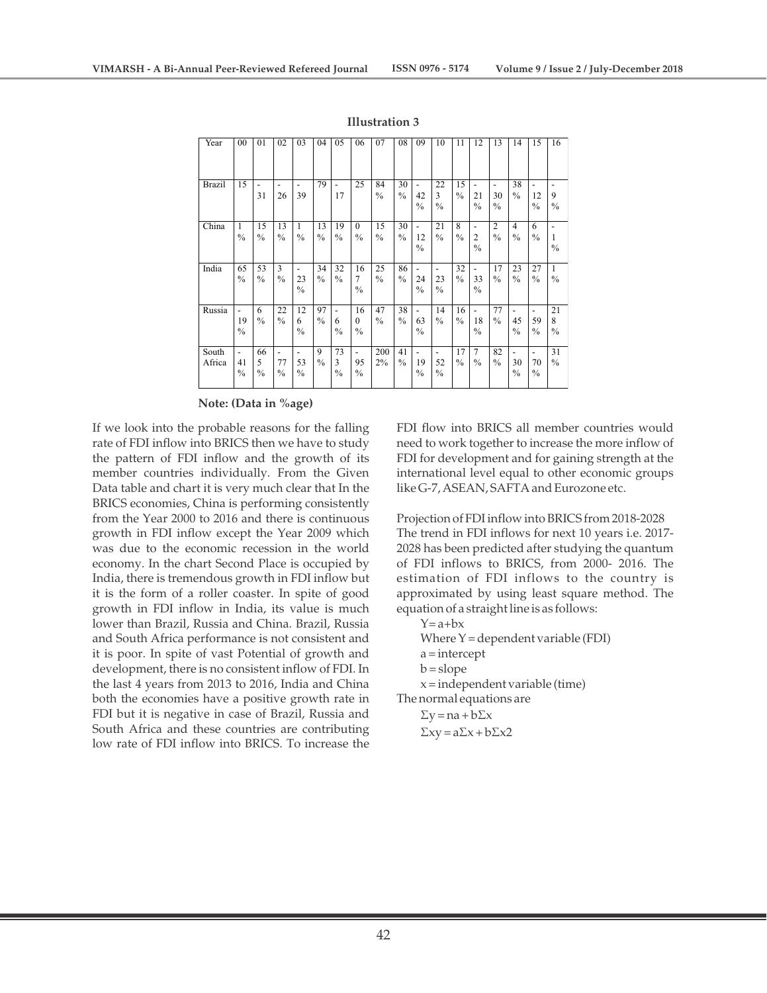| Year            | 00                       | 01                       | 02                  | 03                                              | 04                  | 05                       | 06                              | 07                  | 08                  | 09                                    | 10                                              | 11                  | 12                                              | 13                       | 14                       | 15                  | 16                       |
|-----------------|--------------------------|--------------------------|---------------------|-------------------------------------------------|---------------------|--------------------------|---------------------------------|---------------------|---------------------|---------------------------------------|-------------------------------------------------|---------------------|-------------------------------------------------|--------------------------|--------------------------|---------------------|--------------------------|
| <b>Brazil</b>   | 15                       | 31                       | 26                  | 39                                              | 79                  | ۰<br>17                  | 25                              | 84<br>$\frac{0}{0}$ | 30<br>$\frac{0}{0}$ | ٠<br>42<br>$\frac{0}{0}$              | 22<br>3<br>$\%$                                 | 15<br>$\frac{0}{0}$ | $\overline{\phantom{a}}$<br>21<br>$\frac{0}{0}$ | -<br>30<br>$\frac{0}{0}$ | 38<br>$\frac{0}{0}$      | 12<br>$\frac{0}{0}$ | 9<br>$\frac{0}{0}$       |
| China           | 1<br>$\frac{0}{0}$       | 15<br>$\frac{0}{0}$      | 13<br>$\frac{0}{0}$ | 1<br>$\frac{0}{0}$                              | 13<br>$\frac{0}{0}$ | 19<br>$\frac{0}{0}$      | $\theta$<br>$\frac{0}{0}$       | 15<br>$\frac{0}{0}$ | 30<br>$\frac{0}{0}$ | $\blacksquare$<br>12<br>$\frac{0}{0}$ | 21<br>$\%$                                      | 8<br>$\frac{0}{0}$  | $\overline{\phantom{a}}$<br>2<br>$\frac{0}{0}$  | 2<br>$\frac{0}{0}$       | 4<br>$\frac{0}{0}$       | 6<br>$\frac{0}{0}$  | 1<br>$\frac{0}{0}$       |
| India           | 65<br>$\frac{0}{0}$      | 53<br>$\frac{0}{0}$      | 3<br>$\frac{0}{0}$  | $\overline{\phantom{a}}$<br>23<br>$\frac{0}{0}$ | 34<br>$\frac{0}{0}$ | 32<br>$\frac{0}{0}$      | 16<br>7<br>$\frac{0}{0}$        | 25<br>$\frac{0}{0}$ | 86<br>$\frac{0}{0}$ | ٠<br>24<br>$\frac{0}{0}$              | $\overline{\phantom{a}}$<br>23<br>$\%$          | 32<br>$\frac{0}{0}$ | $\overline{\phantom{a}}$<br>33<br>$\frac{0}{0}$ | 17<br>$\frac{0}{0}$      | 23<br>$\frac{0}{0}$      | 27<br>$\frac{0}{0}$ | 1<br>$\frac{0}{0}$       |
| Russia          | ٠<br>19<br>$\frac{0}{0}$ | 6<br>$\frac{0}{0}$       | 22<br>$\frac{0}{0}$ | 12<br>6<br>$\frac{0}{0}$                        | 97<br>$\frac{0}{0}$ | ۰<br>6<br>$\frac{0}{0}$  | 16<br>$\Omega$<br>$\frac{0}{0}$ | 47<br>$\frac{0}{0}$ | 38<br>$\frac{0}{0}$ | ÷,<br>63<br>$\frac{0}{0}$             | 14<br>$\%$                                      | 16<br>$\frac{0}{0}$ | $\blacksquare$<br>18<br>$\frac{0}{0}$           | 77<br>$\frac{0}{0}$      | ٠<br>45<br>$\frac{0}{0}$ | 59<br>$\frac{0}{0}$ | 21<br>8<br>$\frac{0}{0}$ |
| South<br>Africa | -<br>41<br>$\frac{0}{0}$ | 66<br>5<br>$\frac{0}{0}$ | 77<br>$\frac{0}{0}$ | 53<br>$\frac{0}{0}$                             | 9<br>$\frac{0}{0}$  | 73<br>3<br>$\frac{0}{0}$ | ۰<br>95<br>$\frac{0}{0}$        | 200<br>$2\%$        | 41<br>$\frac{0}{0}$ | ٠<br>19<br>$\frac{0}{0}$              | $\overline{\phantom{a}}$<br>52<br>$\frac{0}{0}$ | 17<br>$\%$          | $\overline{7}$<br>$\frac{0}{0}$                 | 82<br>$\frac{0}{0}$      | -<br>30<br>$\frac{0}{0}$ | 70<br>$\frac{0}{0}$ | 31<br>$\%$               |

#### **Illustration 3**

#### **Note: (Data in %age)**

If we look into the probable reasons for the falling rate of FDI inflow into BRICS then we have to study the pattern of FDI inflow and the growth of its member countries individually. From the Given Data table and chart it is very much clear that In the BRICS economies, China is performing consistently from the Year 2000 to 2016 and there is continuous growth in FDI inflow except the Year 2009 which was due to the economic recession in the world economy. In the chart Second Place is occupied by India, there is tremendous growth in FDI inflow but it is the form of a roller coaster. In spite of good growth in FDI inflow in India, its value is much lower than Brazil, Russia and China. Brazil, Russia and South Africa performance is not consistent and it is poor. In spite of vast Potential of growth and development, there is no consistent inflow of FDI. In the last 4 years from 2013 to 2016, India and China both the economies have a positive growth rate in FDI but it is negative in case of Brazil, Russia and South Africa and these countries are contributing low rate of FDI inflow into BRICS. To increase the

FDI flow into BRICS all member countries would need to work together to increase the more inflow of FDI for development and for gaining strength at the international level equal to other economic groups like G-7, ASEAN, SAFTA and Eurozone etc.

Projection of FDI inflow into BRICS from 2018-2028 The trend in FDI inflows for next 10 years i.e. 2017- 2028 has been predicted after studying the quantum of FDI inflows to BRICS, from 2000- 2016. The estimation of FDI inflows to the country is approximated by using least square method. The equation of a straight line is as follows:

$$
Y=a+bx
$$
  
Where Y = dependent variable (FDI)  
a = intercept  
b = slope  
x = independent variable (time)  
The normal equations are

 $\Sigma y = na + b \Sigma x$  $\Sigma xy = a\Sigma x + b\Sigma x2$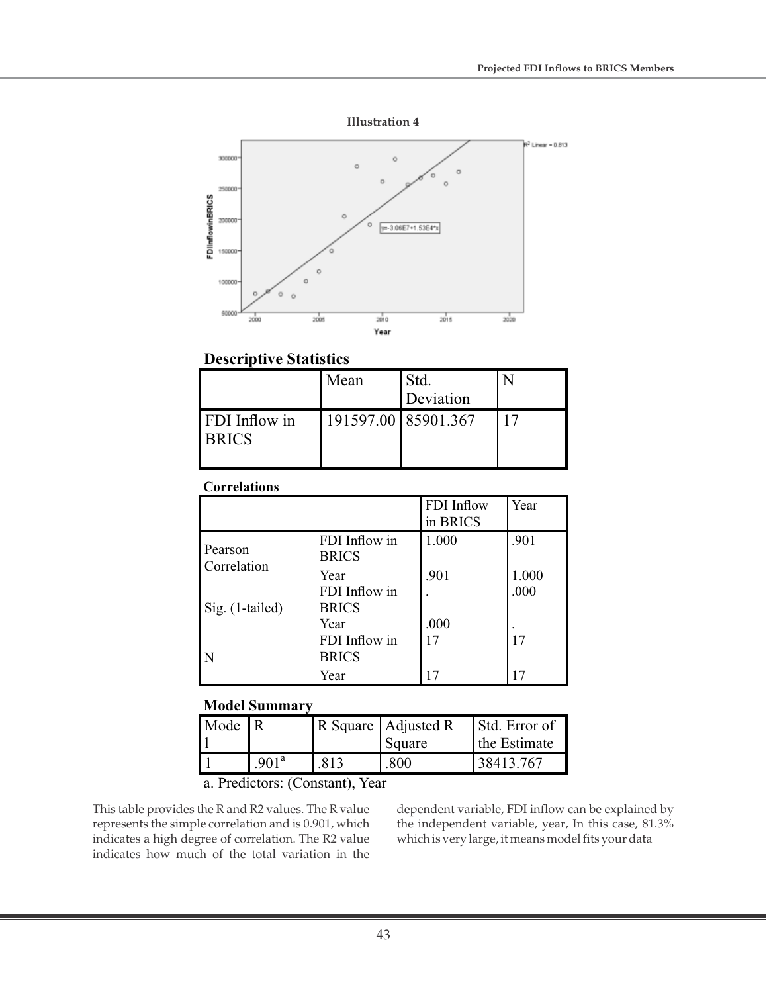

# **Descriptive Statistics**

|                               | Mean | Std.<br>Deviation   |  |
|-------------------------------|------|---------------------|--|
| FDI Inflow in<br><b>BRICS</b> |      | 191597.00 85901.367 |  |

# **Correlations**

|                        |                               | FDI Inflow<br>in BRICS | Year          |
|------------------------|-------------------------------|------------------------|---------------|
| Pearson<br>Correlation | FDI Inflow in<br><b>BRICS</b> | 1.000                  | .901          |
|                        | Year<br>FDI Inflow in         | .901                   | 1.000<br>.000 |
| Sig. (1-tailed)        | <b>BRICS</b><br>Year          | .000                   |               |
| N                      | FDI Inflow in<br><b>BRICS</b> | 17                     | 17            |
|                        | Year                          |                        |               |

## **Model Summary**

| Mode R |                   |      | R Square   Adjusted R<br>Square | Std. Error of<br>the Estimate |
|--------|-------------------|------|---------------------------------|-------------------------------|
|        | .901 <sup>a</sup> | .813 | .800                            | 38413.767                     |

a. Predictors: (Constant), Year

This table provides the R and R2 values. The R value represents the simple correlation and is 0.901, which indicates a high degree of correlation. The R2 value indicates how much of the total variation in the

dependent variable, FDI inflow can be explained by the independent variable, year, In this case, 81.3% which is very large, it means model fits your data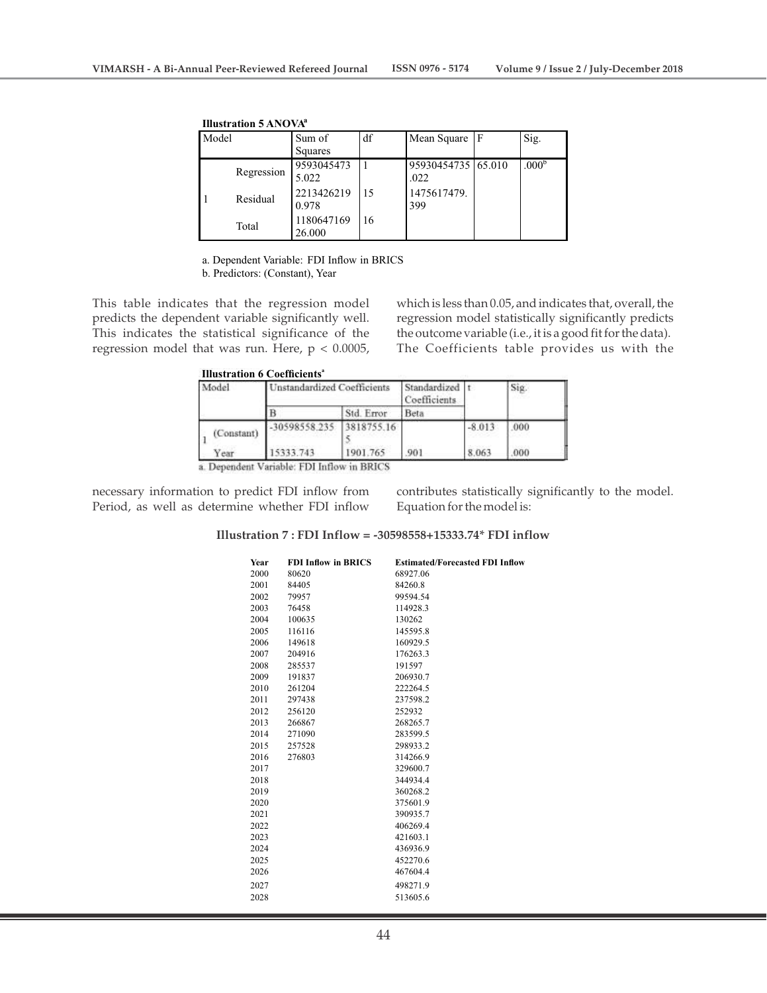| Model |            | Sum of<br>Squares    | df | Mean Square                | ١F | Sig.              |
|-------|------------|----------------------|----|----------------------------|----|-------------------|
|       | Regression | 9593045473<br>5.022  |    | 95930454735 65.010<br>.022 |    | .000 <sup>b</sup> |
|       | Residual   | 2213426219<br>0.978  | 15 | 1475617479.<br>399         |    |                   |
|       | Total      | 1180647169<br>26.000 | 16 |                            |    |                   |

**Illustration 5 ANOVA a**

a. Dependent Variable: FDI Inflow in BRICS

b. Predictors: (Constant), Year

This table indicates that the regression model predicts the dependent variable significantly well. This indicates the statistical significance of the regression model that was run. Here,  $p < 0.0005$ , which is less than 0.05, and indicates that, overall, the regression model statistically significantly predicts the outcome variable (i.e., it is a good fit for the data). The Coefficients table provides us with the

|  | <b>Illustration 6 Coefficients</b> <sup>ª</sup> |
|--|-------------------------------------------------|
|  |                                                 |

| Model      | Unstandardized Coefficients |            | Standardized<br>Coefficients |          | Sig. |  |
|------------|-----------------------------|------------|------------------------------|----------|------|--|
|            |                             | Std. Error | Beta                         |          |      |  |
| (Constant) | -30598558.235 3818755.16    |            |                              | $-8.013$ | 000  |  |
| ear        | 15333.743                   | 1901.765   | 901                          | 8.063    | 000  |  |

a. Dependent Variable: FDI Inflow in BRICS

necessary information to predict FDI inflow from Period, as well as determine whether FDI inflow

contributes statistically significantly to the model. Equation for the model is:

### **Illustration 7 : FDI Inflow = -30598558+15333.74\* FDI inflow**

| 2000<br>68927.06<br>80620<br>2001<br>84405<br>84260.8<br>2002<br>79957<br>99594.54<br>2003<br>76458<br>114928.3<br>2004<br>100635<br>130262<br>2005<br>116116<br>145595.8<br>2006<br>149618<br>160929.5<br>2007<br>204916<br>176263.3<br>2008<br>191597<br>285537<br>2009<br>191837<br>206930.7<br>2010<br>261204<br>222264.5<br>2011<br>297438<br>237598.2<br>2012<br>256120<br>252932<br>2013<br>266867<br>268265.7<br>2014<br>271090<br>283599.5<br>2015<br>257528<br>298933.2<br>2016<br>276803<br>314266.9<br>2017<br>329600.7<br>2018<br>344934.4 |
|---------------------------------------------------------------------------------------------------------------------------------------------------------------------------------------------------------------------------------------------------------------------------------------------------------------------------------------------------------------------------------------------------------------------------------------------------------------------------------------------------------------------------------------------------------|
|                                                                                                                                                                                                                                                                                                                                                                                                                                                                                                                                                         |
|                                                                                                                                                                                                                                                                                                                                                                                                                                                                                                                                                         |
|                                                                                                                                                                                                                                                                                                                                                                                                                                                                                                                                                         |
|                                                                                                                                                                                                                                                                                                                                                                                                                                                                                                                                                         |
|                                                                                                                                                                                                                                                                                                                                                                                                                                                                                                                                                         |
|                                                                                                                                                                                                                                                                                                                                                                                                                                                                                                                                                         |
|                                                                                                                                                                                                                                                                                                                                                                                                                                                                                                                                                         |
|                                                                                                                                                                                                                                                                                                                                                                                                                                                                                                                                                         |
|                                                                                                                                                                                                                                                                                                                                                                                                                                                                                                                                                         |
|                                                                                                                                                                                                                                                                                                                                                                                                                                                                                                                                                         |
|                                                                                                                                                                                                                                                                                                                                                                                                                                                                                                                                                         |
|                                                                                                                                                                                                                                                                                                                                                                                                                                                                                                                                                         |
|                                                                                                                                                                                                                                                                                                                                                                                                                                                                                                                                                         |
|                                                                                                                                                                                                                                                                                                                                                                                                                                                                                                                                                         |
|                                                                                                                                                                                                                                                                                                                                                                                                                                                                                                                                                         |
|                                                                                                                                                                                                                                                                                                                                                                                                                                                                                                                                                         |
|                                                                                                                                                                                                                                                                                                                                                                                                                                                                                                                                                         |
|                                                                                                                                                                                                                                                                                                                                                                                                                                                                                                                                                         |
|                                                                                                                                                                                                                                                                                                                                                                                                                                                                                                                                                         |
| 2019<br>360268.2                                                                                                                                                                                                                                                                                                                                                                                                                                                                                                                                        |
| 2020<br>375601.9                                                                                                                                                                                                                                                                                                                                                                                                                                                                                                                                        |
| 2021<br>390935.7                                                                                                                                                                                                                                                                                                                                                                                                                                                                                                                                        |
| 2022<br>406269.4                                                                                                                                                                                                                                                                                                                                                                                                                                                                                                                                        |
| 2023<br>421603.1                                                                                                                                                                                                                                                                                                                                                                                                                                                                                                                                        |
| 2024<br>436936.9                                                                                                                                                                                                                                                                                                                                                                                                                                                                                                                                        |
| 452270.6<br>2025                                                                                                                                                                                                                                                                                                                                                                                                                                                                                                                                        |
| 2026<br>467604.4                                                                                                                                                                                                                                                                                                                                                                                                                                                                                                                                        |
| 2027<br>498271.9                                                                                                                                                                                                                                                                                                                                                                                                                                                                                                                                        |
| 2028<br>513605.6                                                                                                                                                                                                                                                                                                                                                                                                                                                                                                                                        |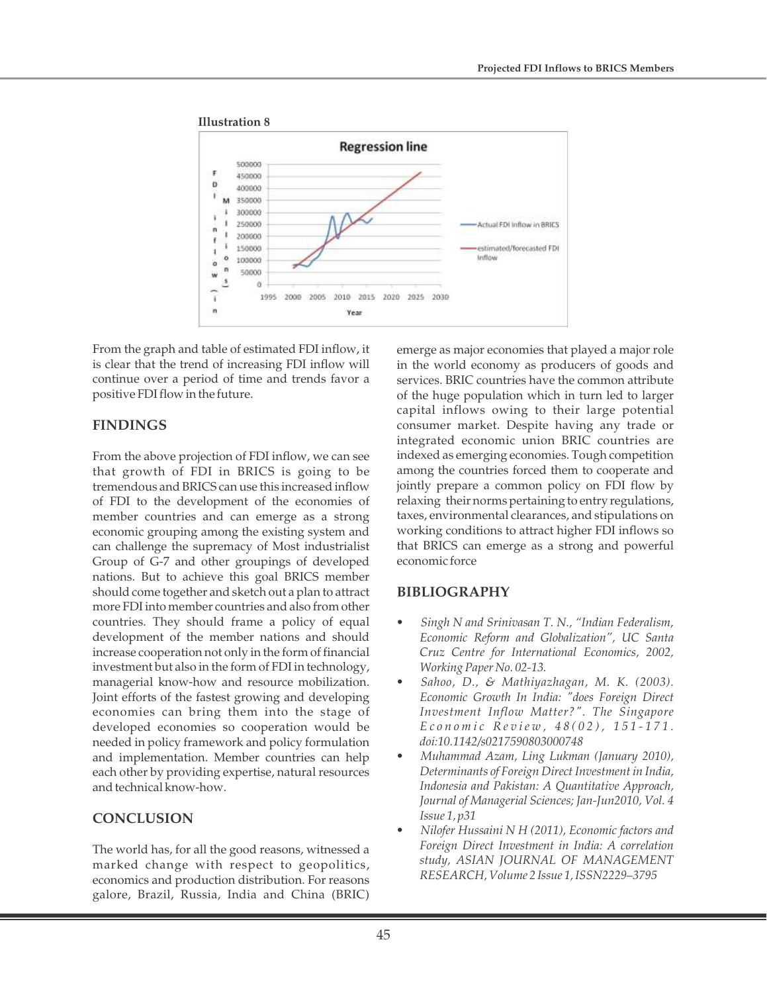

From the graph and table of estimated FDI inflow, it is clear that the trend of increasing FDI inflow will continue over a period of time and trends favor a positive FDI flow in the future.

## **FINDINGS**

From the above projection of FDI inflow, we can see that growth of FDI in BRICS is going to be tremendous and BRICS can use this increased inflow of FDI to the development of the economies of member countries and can emerge as a strong economic grouping among the existing system and can challenge the supremacy of Most industrialist Group of G-7 and other groupings of developed nations. But to achieve this goal BRICS member should come together and sketch out a plan to attract more FDI into member countries and also from other countries. They should frame a policy of equal development of the member nations and should increase cooperation not only in the form of financial investment but also in the form of FDI in technology, managerial know-how and resource mobilization. Joint efforts of the fastest growing and developing economies can bring them into the stage of developed economies so cooperation would be needed in policy framework and policy formulation and implementation. Member countries can help each other by providing expertise, natural resources and technical know-how.

# **CONCLUSION**

The world has, for all the good reasons, witnessed a marked change with respect to geopolitics, economics and production distribution. For reasons galore, Brazil, Russia, India and China (BRIC) emerge as major economies that played a major role in the world economy as producers of goods and services. BRIC countries have the common attribute of the huge population which in turn led to larger capital inflows owing to their large potential consumer market. Despite having any trade or integrated economic union BRIC countries are indexed as emerging economies. Tough competition among the countries forced them to cooperate and jointly prepare a common policy on FDI flow by relaxing their norms pertaining to entry regulations, taxes, environmental clearances, and stipulations on working conditions to attract higher FDI inflows so that BRICS can emerge as a strong and powerful economic force

## **BIBLIOGRAPHY**

- *Singh N and Srinivasan T. N., "Indian Federalism, Economic Reform and Globalization", UC Santa Cruz Centre for International Economics, 2002, Working Paper No. 02-13.*
- *Sahoo, D., & Mathiyazhagan, M. K. (2003). Economic Growth In India: "does Foreign Direct Investment Inflow Matter?". The Singapore*  Economic Review, 48(02), 151-171. *doi:10.1142/s0217590803000748*
- *Muhammad Azam, Ling Lukman (January 2010), Determinants of Foreign Direct Investment in India, Indonesia and Pakistan: A Quantitative Approach, Journal of Managerial Sciences; Jan-Jun2010, Vol. 4 Issue 1, p31*
- *Nilofer Hussaini N H (2011), Economic factors and Foreign Direct Investment in India: A correlation study, ASIAN JOURNAL OF MANAGEMENT RESEARCH, Volume 2 Issue 1, ISSN2229–3795*